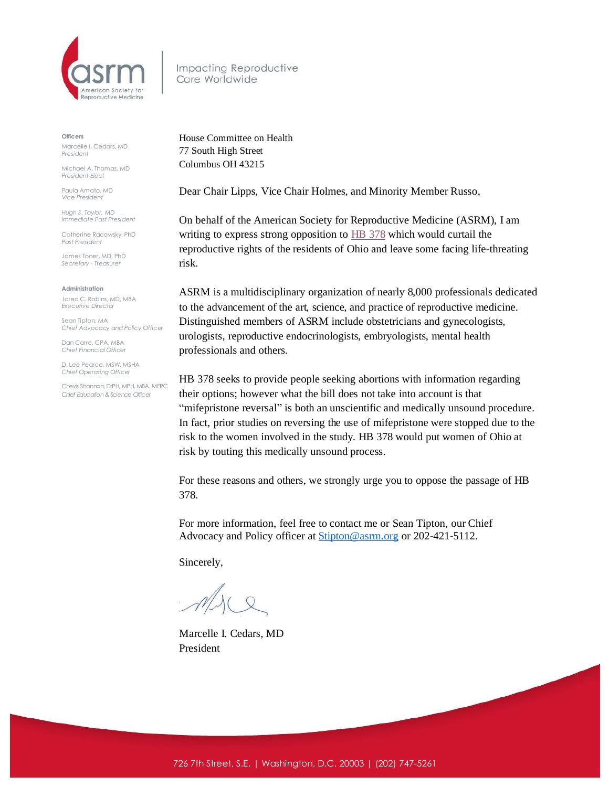

Impacting Reproductive Care Worldwide

**Officers**

Marcelle I. Cedars, MD *President*

Michael A. Thomas, MD *President-Elect*

Paula Amato, MD *Vice President*

*Hugh S. Taylor, MD Immediate Past President*

Catherine Racowsky, PhD *Past President*

James Toner, MD, PhD *Secretary - Treasurer* 

**Administration**

Jared C. Robins, MD, MBA *Executive Director*

Sean Tipton, MA *Chief Advocacy and Policy Officer*

Dan Carre, CPA, MBA *Chief Financial Officer*

D. Lee Pearce, MSW, MSHA *Chief Operating Officer* 

Chevis Shannon, DrPH, MPH, MBA, MERC *Chief Education & Science Officer*

House Committee on Health 77 South High Street Columbus OH 43215

Dear Chair Lipps, Vice Chair Holmes, and Minority Member Russo,

On behalf of the American Society for Reproductive Medicine (ASRM), I am writing to express strong opposition to **HB** [378](https://s3.amazonaws.com/fn-document-service/file-by-sha384/2917c53044854f1d0d1b25d13800a8b9d59a771c2bbdccce75d69226d68aa5bb90a1aaf67fce7232e627b654bf5494a0) which would curtail the reproductive rights of the residents of Ohio and leave some facing life-threating risk.

ASRM is a multidisciplinary organization of nearly 8,000 professionals dedicated to the advancement of the art, science, and practice of reproductive medicine. Distinguished members of ASRM include obstetricians and gynecologists, urologists, reproductive endocrinologists, embryologists, mental health professionals and others.

HB 378 seeks to provide people seeking abortions with information regarding their options; however what the bill does not take into account is that "mifepristone reversal" is both an unscientific and medically unsound procedure. In fact, prior studies on reversing the use of mifepristone were stopped due to the risk to the women involved in the study. HB 378 would put women of Ohio at risk by touting this medically unsound process.

For these reasons and others, we strongly urge you to oppose the passage of HB 378.

For more information, feel free to contact me or Sean Tipton, our Chief Advocacy and Policy officer at **[Stipton@asrm.org](mailto:Stipton@asrm.org)** or 202-421-5112.

Sincerely,

Marcelle I. Cedars, MD President